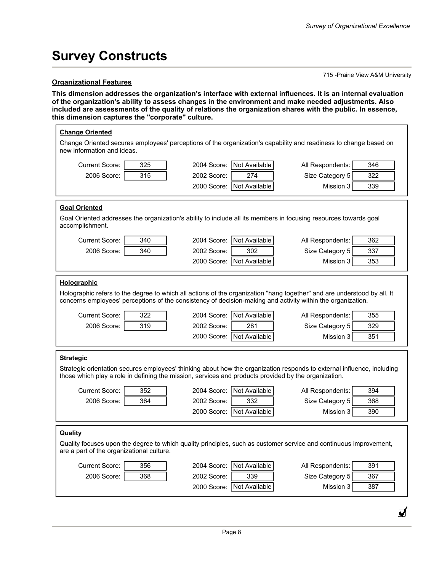## **Survey Constructs**

#### **Organizational Features**

715 -Prairie View A&M University

₫

**This dimension addresses the organization's interface with external influences. It is an internal evaluation of the organization's ability to assess changes in the environment and make needed adjustments. Also included are assessments of the quality of relations the organization shares with the public. In essence, this dimension captures the "corporate" culture.** 

| <b>Change Oriented</b><br>Change Oriented secures employees' perceptions of the organization's capability and readiness to change based on<br>new information and ideas.                                                                                                                                                                                                                                                                                                |            |                                                                                    |                                                                                                                                                                                                                                                                                                                 |  |  |
|-------------------------------------------------------------------------------------------------------------------------------------------------------------------------------------------------------------------------------------------------------------------------------------------------------------------------------------------------------------------------------------------------------------------------------------------------------------------------|------------|------------------------------------------------------------------------------------|-----------------------------------------------------------------------------------------------------------------------------------------------------------------------------------------------------------------------------------------------------------------------------------------------------------------|--|--|
| Current Score:<br>2006 Score:                                                                                                                                                                                                                                                                                                                                                                                                                                           | 325<br>315 | Not Available<br>2004 Score:<br>274<br>2002 Score:<br>2000 Score:<br>Not Available | 346<br>All Respondents:<br>Size Category 5<br>322<br>Mission 3<br>339                                                                                                                                                                                                                                           |  |  |
| <b>Goal Oriented</b><br>accomplishment.                                                                                                                                                                                                                                                                                                                                                                                                                                 |            |                                                                                    | Goal Oriented addresses the organization's ability to include all its members in focusing resources towards goal                                                                                                                                                                                                |  |  |
| <b>Current Score:</b><br>2006 Score:                                                                                                                                                                                                                                                                                                                                                                                                                                    | 340<br>340 | Not Available<br>2004 Score:<br>2002 Score:<br>302<br>Not Available<br>2000 Score: | All Respondents:<br>362<br>Size Category 5<br>337<br>353<br>Mission 3                                                                                                                                                                                                                                           |  |  |
| Holographic<br>Current Score:<br>2006 Score:                                                                                                                                                                                                                                                                                                                                                                                                                            | 322<br>319 | Not Available<br>2004 Score:<br>281<br>2002 Score:<br>Not Available<br>2000 Score: | Holographic refers to the degree to which all actions of the organization "hang together" and are understood by all. It<br>concerns employees' perceptions of the consistency of decision-making and activity within the organization.<br>All Respondents:<br>355<br>Size Category 5<br>329<br>Mission 3<br>351 |  |  |
| <b>Strategic</b><br>Strategic orientation secures employees' thinking about how the organization responds to external influence, including<br>those which play a role in defining the mission, services and products provided by the organization.<br>Not Available<br><b>Current Score:</b><br>352<br>2004 Score:<br>All Respondents:<br>394<br>364<br>332<br>2006 Score:<br>2002 Score:<br>Size Category 5<br>368<br>2000 Score:<br>Not Available<br>Mission 3<br>390 |            |                                                                                    |                                                                                                                                                                                                                                                                                                                 |  |  |
| <b>Quality</b><br>are a part of the organizational culture.<br>Current Score:<br>2006 Score:                                                                                                                                                                                                                                                                                                                                                                            | 356<br>368 | 2004 Score:<br>Not Available<br>2002 Score:<br>339<br>2000 Score:<br>Not Available | Quality focuses upon the degree to which quality principles, such as customer service and continuous improvement,<br>All Respondents:<br>391<br>Size Category 5<br>367<br>Mission 3<br>387                                                                                                                      |  |  |